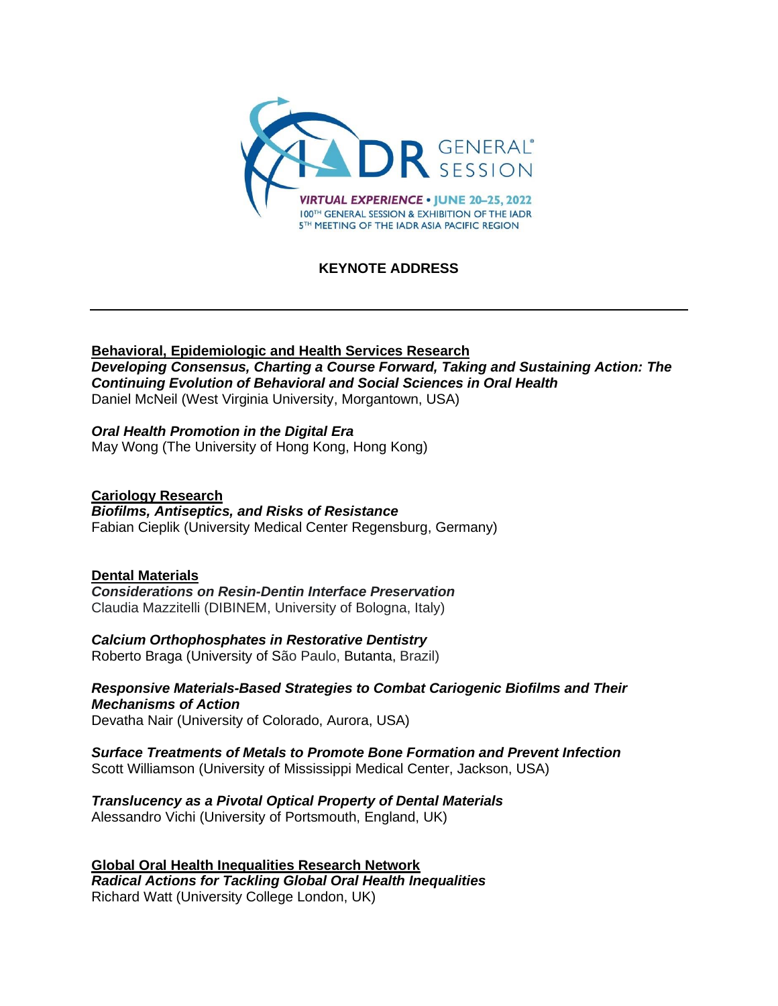

# **KEYNOTE ADDRESS**

### **Behavioral, Epidemiologic and Health Services Research**

*Developing Consensus, Charting a Course Forward, Taking and Sustaining Action: The Continuing Evolution of Behavioral and Social Sciences in Oral Health* Daniel McNeil (West Virginia University, Morgantown, USA)

## *Oral Health Promotion in the Digital Era*

May Wong (The University of Hong Kong, Hong Kong)

### **Cariology Research**

### *Biofilms, Antiseptics, and Risks of Resistance*

Fabian Cieplik (University Medical Center Regensburg, Germany)

### **Dental Materials**

*Considerations on Resin-Dentin Interface Preservation* Claudia Mazzitelli (DIBINEM, University of Bologna, Italy)

### *Calcium Orthophosphates in Restorative Dentistry*

Roberto Braga (University of São Paulo, Butanta, Brazil)

### *Responsive Materials-Based Strategies to Combat Cariogenic Biofilms and Their Mechanisms of Action*

Devatha Nair (University of Colorado, Aurora, USA)

# *Surface Treatments of Metals to Promote Bone Formation and Prevent Infection*

Scott Williamson (University of Mississippi Medical Center, Jackson, USA)

### *Translucency as a Pivotal Optical Property of Dental Materials*

Alessandro Vichi (University of Portsmouth, England, UK)

**Global Oral Health Inequalities Research Network** *Radical Actions for Tackling Global Oral Health Inequalities* Richard Watt (University College London, UK)